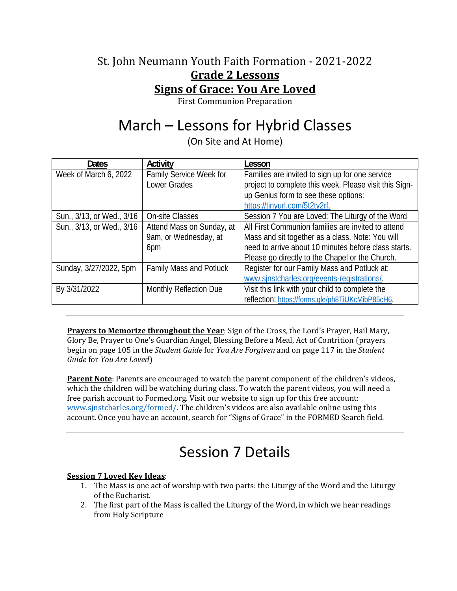### St. John Neumann Youth Faith Formation - 2021-2022 **Grade 2 Lessons Signs of Grace: You Are Loved**

First Communion Preparation

# March – Lessons for Hybrid Classes

(On Site and At Home)

| <b>Dates</b>              | Activity                       | Lesson                                                 |
|---------------------------|--------------------------------|--------------------------------------------------------|
| Week of March 6, 2022     | Family Service Week for        | Families are invited to sign up for one service        |
|                           | Lower Grades                   | project to complete this week. Please visit this Sign- |
|                           |                                | up Genius form to see these options:                   |
|                           |                                | https://tinyurl.com/5t2ty2rf.                          |
| Sun., 3/13, or Wed., 3/16 | <b>On-site Classes</b>         | Session 7 You are Loved: The Liturgy of the Word       |
| Sun., 3/13, or Wed., 3/16 | Attend Mass on Sunday, at      | All First Communion families are invited to attend     |
|                           | 9am, or Wednesday, at          | Mass and sit together as a class. Note: You will       |
|                           | 6pm                            | need to arrive about 10 minutes before class starts.   |
|                           |                                | Please go directly to the Chapel or the Church.        |
| Sunday, 3/27/2022, 5pm    | <b>Family Mass and Potluck</b> | Register for our Family Mass and Potluck at:           |
|                           |                                | www.sinstcharles.org/events-registrations/.            |
| By 3/31/2022              | Monthly Reflection Due         | Visit this link with your child to complete the        |
|                           |                                | reflection: https://forms.gle/ph8TiUKcMibP85cH6.       |

**Prayers to Memorize throughout the Year**: Sign of the Cross, the Lord's Prayer, Hail Mary, Glory Be, Prayer to One's Guardian Angel, Blessing Before a Meal, Act of Contrition (prayers begin on page 105 in the *Student Guide* for *You Are Forgiven* and on page 117 in the *Student Guide* for *You Are Loved*)

**Parent Note**: Parents are encouraged to watch the parent component of the children's videos, which the children will be watching during class. To watch the parent videos, you will need a free parish account to Formed.org. Visit our website to sign up for this free account: www.sjnstcharles.org/formed/. The children's videos are also available online using this account. Once you have an account, search for "Signs of Grace" in the FORMED Search field.

# Session 7 Details

### **Session 7 Loved Key Ideas**:

- 1. The Mass is one act of worship with two parts: the Liturgy of the Word and the Liturgy of the Eucharist.
- 2. The first part of the Mass is called the Liturgy of the Word, in which we hear readings from Holy Scripture